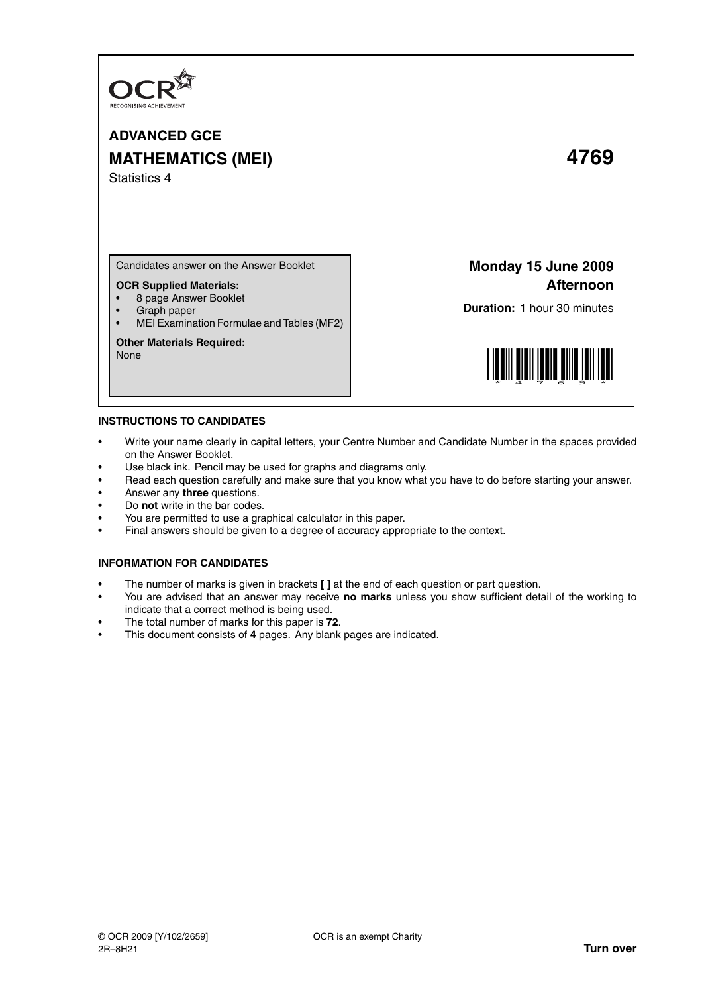

# **ADVANCED GCE MATHEMATICS (MEI) 4769** Statistics 4

Candidates answer on the Answer Booklet

### **OCR Supplied Materials:**

- 8 page Answer Booklet
- Graph paper
- MEI Examination Formulae and Tables (MF2)

#### **Other Materials Required:**

None

## **Monday 15 June 2009 Afternoon**

**Duration:** 1 hour 30 minutes



#### **INSTRUCTIONS TO CANDIDATES**

- Write your name clearly in capital letters, your Centre Number and Candidate Number in the spaces provided on the Answer Booklet.
- Use black ink. Pencil may be used for graphs and diagrams only.
- Read each question carefully and make sure that you know what you have to do before starting your answer.
- Answer any **three** questions.
- Do **not** write in the bar codes.
- You are permitted to use a graphical calculator in this paper.
- Final answers should be given to a degree of accuracy appropriate to the context.

#### **INFORMATION FOR CANDIDATES**

- The number of marks is given in brackets **[ ]** at the end of each question or part question.
- You are advised that an answer may receive **no marks** unless you show sufficient detail of the working to indicate that a correct method is being used.
- The total number of marks for this paper is **72**.
- This document consists of **4** pages. Any blank pages are indicated.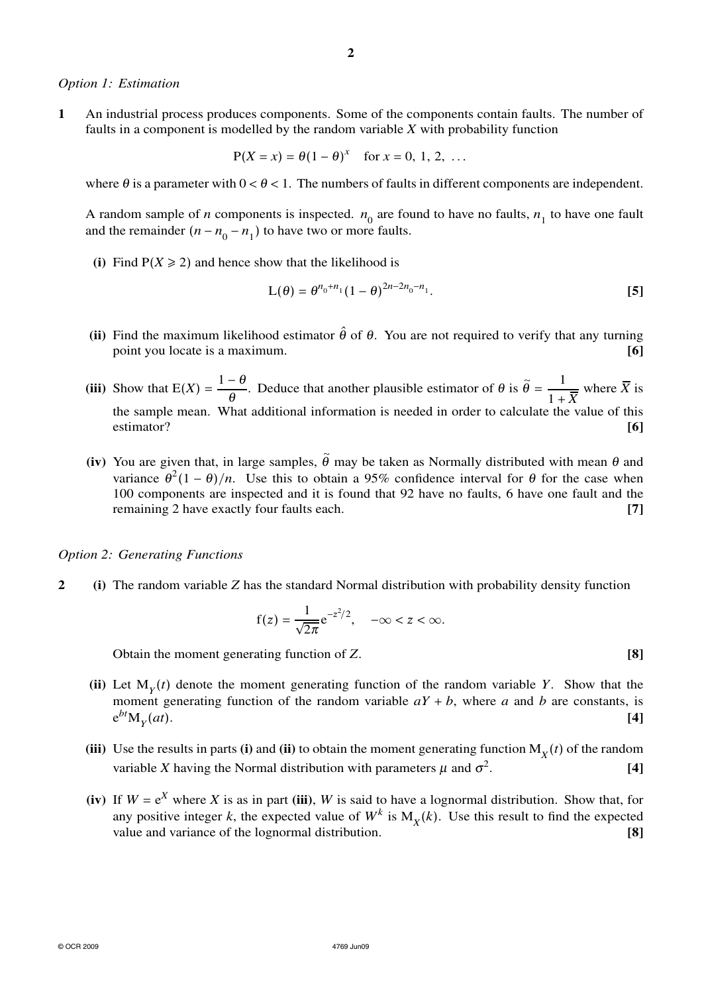#### *Option 1: Estimation*

**1** An industrial process produces components. Some of the components contain faults. The number of faults in a component is modelled by the random variable *X* with probability function

$$
P(X = x) = \theta(1 - \theta)^{x}
$$
 for  $x = 0, 1, 2, ...$ 

where  $\theta$  is a parameter with  $0 < \theta < 1$ . The numbers of faults in different components are independent.

A random sample of *n* components is inspected.  $n_0$  are found to have no faults,  $n_1$  to have one fault and the remainder  $(n - n_0 - n_1)$  to have two or more faults.

(i) Find  $P(X \ge 2)$  and hence show that the likelihood is

$$
L(\theta) = \theta^{n_0 + n_1} (1 - \theta)^{2n - 2n_0 - n_1}.
$$
 [5]

- (ii) Find the maximum likelihood estimator  $\hat{\theta}$  of  $\theta$ . You are not required to verify that any turning point you locate is a maximum. **[6]**
- (iii) Show that  $E(X) = \frac{1-\theta}{\theta}$ . Deduce that another plausible estimator of  $\theta$  is  $\tilde{\theta} =$ 1  $1 + \overline{X}$ where  $\overline{X}$  is the sample mean. What additional information is needed in order to calculate the value of this estimator? **[6]**
- (iv) You are given that, in large samples,  $\tilde{\theta}$  may be taken as Normally distributed with mean  $\theta$  and variance  $\theta^2(1-\theta)/n$ . Use this to obtain a 95% confidence interval for  $\theta$  for the case when 100 components are inspected and it is found that 92 have no faults, 6 have one fault and the remaining 2 have exactly four faults each. **[7]**

#### *Option 2: Generating Functions*

**2 (i)** The random variable *Z* has the standard Normal distribution with probability density function

$$
f(z) = \frac{1}{\sqrt{2\pi}}e^{-z^2/2}, \quad -\infty < z < \infty.
$$

Obtain the moment generating function of *Z*. **[8]**

- (ii) Let  $M_Y(t)$  denote the moment generating function of the random variable *Y*. Show that the moment generating function of the random variable  $aY + b$ , where *a* and *b* are constants, is e *bt*M*<sup>Y</sup>* (*at*). **[4]**
- **(iii)** Use the results in parts **(i)** and **(ii)** to obtain the moment generating function  $M_X(t)$  of the random variable *X* having the Normal distribution with parameters  $\mu$  and  $\sigma^2$ . **[4]**
- **(iv)** If  $W = e^X$  where *X* is as in part **(iii)**, *W* is said to have a lognormal distribution. Show that, for any positive integer *k*, the expected value of  $W^k$  is  $M_X(k)$ . Use this result to find the expected value and variance of the lognormal distribution. **[8]**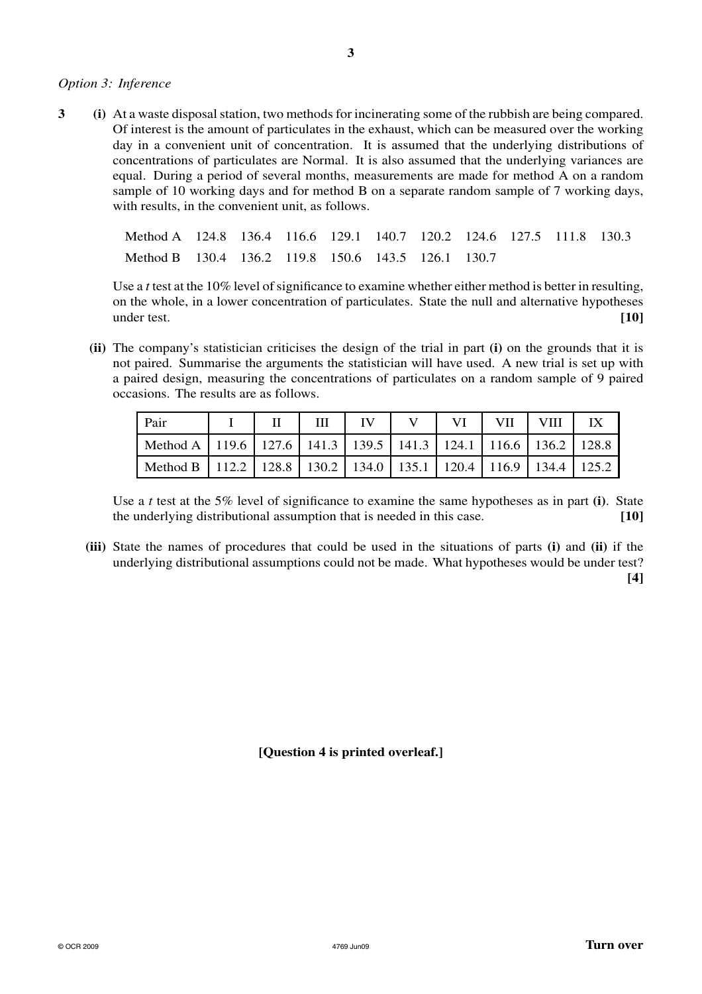## *Option 3: Inference*

**3 (i)** At a waste disposal station, two methods for incinerating some of the rubbish are being compared. Of interest is the amount of particulates in the exhaust, which can be measured over the working day in a convenient unit of concentration. It is assumed that the underlying distributions of concentrations of particulates are Normal. It is also assumed that the underlying variances are equal. During a period of several months, measurements are made for method A on a random sample of 10 working days and for method B on a separate random sample of 7 working days, with results, in the convenient unit, as follows.

| Method A 124.8 136.4 116.6 129.1 140.7 120.2 124.6 127.5 111.8 130.3 |  |  |  |  |  |
|----------------------------------------------------------------------|--|--|--|--|--|
| Method B 130.4 136.2 119.8 150.6 143.5 126.1 130.7                   |  |  |  |  |  |

Use a *t* test at the 10% level of significance to examine whether either method is better in resulting, on the whole, in a lower concentration of particulates. State the null and alternative hypotheses under test. **[10]**

**(ii)** The company's statistician criticises the design of the trial in part **(i)** on the grounds that it is not paired. Summarise the arguments the statistician will have used. A new trial is set up with a paired design, measuring the concentrations of particulates on a random sample of 9 paired occasions. The results are as follows.

| Pair                                                                             |  | H | IV | $\vert$ VI | VII   VIII |  |
|----------------------------------------------------------------------------------|--|---|----|------------|------------|--|
| Method A   119.6   127.6   141.3   139.5   141.3   124.1   116.6   136.2   128.8 |  |   |    |            |            |  |
| Method B   112.2   128.8   130.2   134.0   135.1   120.4   116.9   134.4   125.2 |  |   |    |            |            |  |

Use a *t* test at the 5% level of significance to examine the same hypotheses as in part **(i)**. State the underlying distributional assumption that is needed in this case. **[10]**

**(iii)** State the names of procedures that could be used in the situations of parts **(i)** and **(ii)** if the underlying distributional assumptions could not be made. What hypotheses would be under test? **[4]**

**[Question 4 is printed overleaf.]**